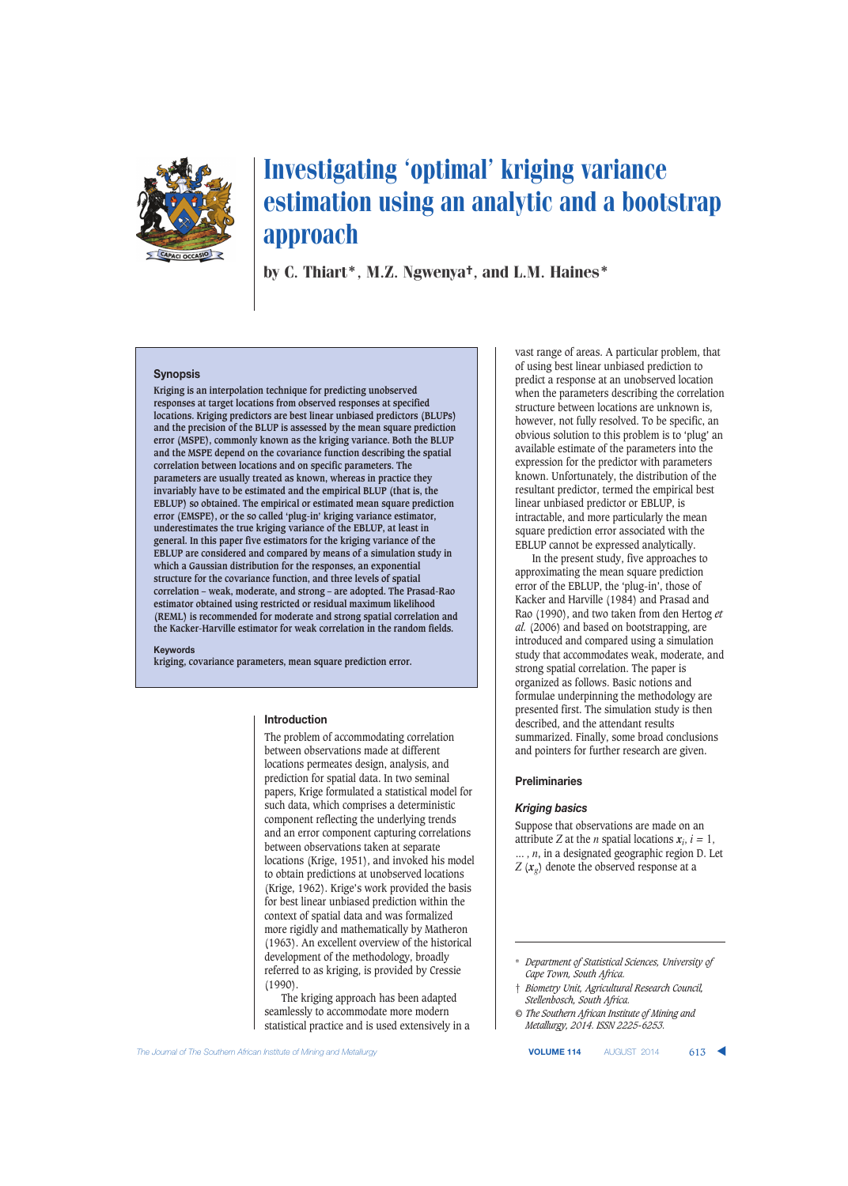

by C. Thiart\*, M.Z. Ngwenya†, and L.M. Haines\*

#### **Synopsis**

**Kriging is an interpolation technique for predicting unobserved responses at target locations from observed responses at specified locations. Kriging predictors are best linear unbiased predictors (BLUPs) and the precision of the BLUP is assessed by the mean square prediction error (MSPE), commonly known as the kriging variance. Both the BLUP and the MSPE depend on the covariance function describing the spatial correlation between locations and on specific parameters. The parameters are usually treated as known, whereas in practice they invariably have to be estimated and the empirical BLUP (that is, the EBLUP) so obtained. The empirical or estimated mean square prediction error (EMSPE), or the so called 'plug-in' kriging variance estimator, underestimates the true kriging variance of the EBLUP, at least in general. In this paper five estimators for the kriging variance of the EBLUP are considered and compared by means of a simulation study in which a Gaussian distribution for the responses, an exponential structure for the covariance function, and three levels of spatial correlation – weak, moderate, and strong – are adopted. The Prasad-Rao estimator obtained using restricted or residual maximum likelihood (REML) is recommended for moderate and strong spatial correlation and the Kacker-Harville estimator for weak correlation in the random fields.** 

#### **Keywords**

**kriging, covariance parameters, mean square prediction error.**

#### **Introduction**

The problem of accommodating correlation between observations made at different locations permeates design, analysis, and prediction for spatial data. In two seminal papers, Krige formulated a statistical model for such data, which comprises a deterministic component reflecting the underlying trends and an error component capturing correlations between observations taken at separate locations (Krige, 1951), and invoked his model to obtain predictions at unobserved locations (Krige, 1962). Krige's work provided the basis for best linear unbiased prediction within the context of spatial data and was formalized more rigidly and mathematically by Matheron (1963). An excellent overview of the historical development of the methodology, broadly referred to as kriging, is provided by Cressie (1990).

The kriging approach has been adapted seamlessly to accommodate more modern statistical practice and is used extensively in a vast range of areas. A particular problem, that of using best linear unbiased prediction to predict a response at an unobserved location when the parameters describing the correlation structure between locations are unknown is, however, not fully resolved. To be specific, an obvious solution to this problem is to 'plug' an available estimate of the parameters into the expression for the predictor with parameters known. Unfortunately, the distribution of the resultant predictor, termed the empirical best linear unbiased predictor or EBLUP, is intractable, and more particularly the mean square prediction error associated with the EBLUP cannot be expressed analytically.

In the present study, five approaches to approximating the mean square prediction error of the EBLUP, the 'plug-in', those of Kacker and Harville (1984) and Prasad and Rao (1990), and two taken from den Hertog *et al.* (2006) and based on bootstrapping, are introduced and compared using a simulation study that accommodates weak, moderate, and strong spatial correlation. The paper is organized as follows. Basic notions and formulae underpinning the methodology are presented first. The simulation study is then described, and the attendant results summarized. Finally, some broad conclusions and pointers for further research are given.

#### **Preliminaries**

#### **Kriging basics**

*Kriging basics* Suppose that observations are made on an attribute *Z* at the *n* spatial locations  $x_i$ ,  $i = 1$ , *... , n*, in a designated geographic region D. Let *Z* (*xg*) denote the observed response at a

- † *Biometry Unit, Agricultural Research Council, Stellenbosch, South Africa.*
- *© The Southern African Institute of Mining and Metallurgy, 2014. ISSN 2225-6253.*

The Journal of The Southern African Institute of Mining and Metallurgy **VOLUME 114** AUGUST 2014 613 **4** 



<sup>\*</sup> *Department of Statistical Sciences, University of Cape Town, South Africa.*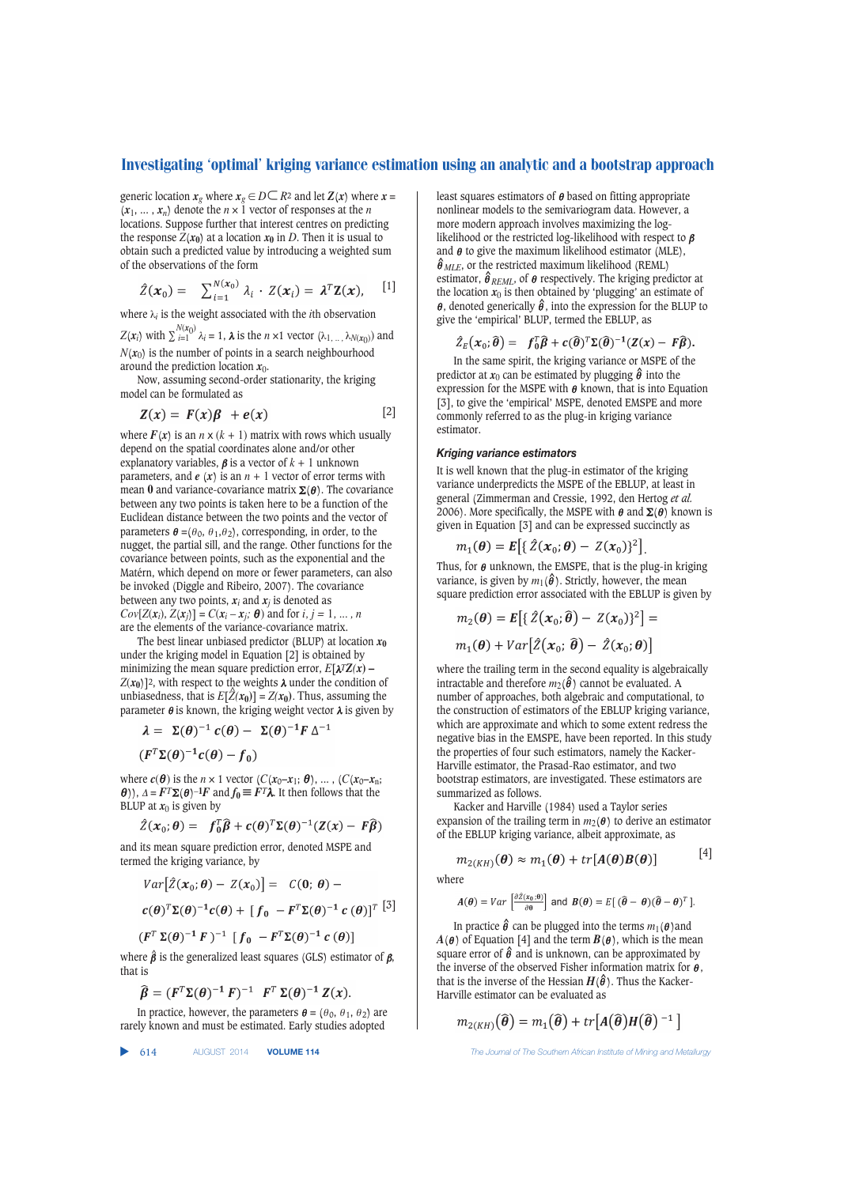generic location  $x_g$  where  $x_g \in D \mathsf{C}$   $R^2$  and let  $Z(x)$  where  $x =$  $(x_1, ..., x_n)$  denote the  $n \times 1$  vector of responses at the *n* locations. Suppose further that interest centres on predicting the response  $Z(x_0)$  at a location  $x_0$  in *D*. Then it is usual to obtain such a predicted value by introducing a weighted sum of the observations of the form

$$
\hat{Z}(\boldsymbol{x}_0) = \sum_{i=1}^{N(\boldsymbol{x}_0)} \lambda_i \cdot Z(\boldsymbol{x}_i) = \boldsymbol{\lambda}^T \mathbf{Z}(\boldsymbol{x}), \quad [1]
$$

where  $\lambda_i$  is the weight associated with the *i*th observation

 $Z(\mathbf{x}_i)$  with  $\sum_{i=1}^{N(\mathbf{x}_0)} \lambda_i = 1$ ,  $\lambda$  is the *n* ×1 vector  $(\lambda_1, \dots, \lambda_{N(\mathbf{x}_0)})$  and  $N(x_0)$  is the number of points in a search neighbourhood around the prediction location  $x_0$ .

Now, assuming second-order stationarity, the kriging model can be formulated as

$$
Z(x) = F(x)\beta + e(x) \qquad [2]
$$

where  $F(x)$  is an  $n \times (k + 1)$  matrix with rows which usually depend on the spatial coordinates alone and/or other explanatory variables,  $\beta$  is a vector of  $k + 1$  unknown parameters, and  $e(x)$  is an  $n + 1$  vector of error terms with mean 0 and variance-covariance matrix  $\Sigma(\theta)$ . The covariance between any two points is taken here to be a function of the Euclidean distance between the two points and the vector of parameters  $\boldsymbol{\theta} = (\theta_0, \theta_1, \theta_2)$ , corresponding, in order, to the nugget, the partial sill, and the range. Other functions for the covariance between points, such as the exponential and the Matérn, which depend on more or fewer parameters, can also be invoked (Diggle and Ribeiro, 2007). The covariance between any two points,  $x_i$  and  $x_j$  is denoted as  $Cov[Z(x_i), Z(x_j)] = C(x_i - x_j; \theta)$  and for *i*, *j* = 1, ... , *n* are the elements of the variance-covariance matrix.

The best linear unbiased predictor (BLUP) at location  $x_0$ under the kriging model in Equation [2] is obtained by minimizing the mean square prediction error,  $E[\lambda^T Z(x)]$  $Z(x_0)$ ]<sup>2</sup>, with respect to the weights  $\lambda$  under the condition of unbiasedness, that is  $E[\hat{Z}(x_0)] = Z(x_0)$ . Thus, assuming the parameter  $θ$  is known, the kriging weight vector  $λ$  is given by

$$
\lambda = \Sigma(\theta)^{-1} c(\theta) - \Sigma(\theta)^{-1} F \Delta^{-1}
$$

 $(F^T \Sigma(\theta)^{-1} c(\theta) - f_0)$ 

where  $c(\theta)$  is the *n* × 1 vector ( $C(x_0-x_1; \theta)$ , ..., ( $C(x_0-x_n;$ θ)), Δ =  $F<sup>T</sup>Σ(θ)$ <sup>-1</sup> $F$ </sup> and  $f_0$  ≡  $F<sup>T</sup>λ$ . It then follows that the BLUP at  $x_0$  is given by

$$
\hat{Z}(x_0;\theta) = f_0^T \hat{\beta} + c(\theta)^T \Sigma(\theta)^{-1} (Z(x) - F\hat{\beta})
$$

and its mean square prediction error, denoted MSPE and termed the kriging variance, by

$$
Var\big[\hat{Z}(\boldsymbol{x}_0;\boldsymbol{\theta})-Z(\boldsymbol{x}_0)\big]=C(\boldsymbol{0};\boldsymbol{\theta})-\n\nc(\boldsymbol{\theta})^T\Sigma(\boldsymbol{\theta})^{-1}c(\boldsymbol{\theta})+\big[f_0-F^T\Sigma(\boldsymbol{\theta})^{-1}c(\boldsymbol{\theta})\big]^T\big[^{3}\big]
$$

$$
(F^T \Sigma(\theta)^{-1} F)^{-1} [f_0 - F^T \Sigma(\theta)^{-1} c(\theta)]
$$

where  $\hat{\beta}$  is the generalized least squares (GLS) estimator of  $\beta$ , that is

$$
\widehat{\boldsymbol{\beta}} = (F^T \Sigma(\boldsymbol{\theta})^{-1} F)^{-1} F^T \Sigma(\boldsymbol{\theta})^{-1} Z(\boldsymbol{x}).
$$

In practice, however, the parameters  $\boldsymbol{\theta} = (\theta_0, \theta_1, \theta_2)$  are rarely known and must be estimated. Early studies adopted

▲

least squares estimators of  $\theta$  based on fitting appropriate nonlinear models to the semivariogram data. However, a more modern approach involves maximizing the loglikelihood or the restricted log-likelihood with respect to  $\beta$ and  $\theta$  to give the maximum likelihood estimator (MLE),  $\hat{\theta}_{MLE}$ , or the restricted maximum likelihood (REML) estimator,  $\hat{\theta}_{REML}$ , of  $\theta$  respectively. The kriging predictor at the location  $x_0$  is then obtained by 'plugging' an estimate of  $\theta$ , denoted generically  $\hat{\theta}$ , into the expression for the BLUP to give the 'empirical' BLUP, termed the EBLUP, as

$$
\hat{Z}_{E}(\boldsymbol{x}_{0};\widehat{\boldsymbol{\theta}}) = \boldsymbol{f}_{0}^{T}\widehat{\boldsymbol{\beta}} + \boldsymbol{c}(\widehat{\boldsymbol{\theta}})^{T}\boldsymbol{\Sigma}(\widehat{\boldsymbol{\theta}})^{-1}(\boldsymbol{Z}(\boldsymbol{x}) - \boldsymbol{F}\widehat{\boldsymbol{\beta}}).
$$

In the same spirit, the kriging variance or MSPE of the predictor at  $x_0$  can be estimated by plugging  $\hat{\theta}$  into the expression for the MSPE with  $\theta$  known, that is into Equation [3], to give the 'empirical' MSPE, denoted EMSPE and more commonly referred to as the plug-in kriging variance estimator.

It is well known that the plug-in estimator of the kriging variance underpredicts the MSPE of the EBLUP, at least in general (Zimmerman and Cressie, 1992, den Hertog *et al.* 2006). More specifically, the MSPE with  $\theta$  and  $\Sigma(\theta)$  known is given in Equation [3] and can be expressed succinctly as

$$
m_1(\boldsymbol{\theta}) = E\big[\{Z(\boldsymbol{x}_0; \boldsymbol{\theta}) - Z(\boldsymbol{x}_0)\}^2\big]
$$

Thus, for  $\theta$  unknown, the EMSPE, that is the plug-in kriging variance, is given by  $m_1(\hat{\theta})$ . Strictly, however, the mean square prediction error associated with the EBLUP is given by

.

$$
m_2(\boldsymbol{\theta}) = \boldsymbol{E}\big[\{\,\hat{Z}\big(\boldsymbol{x}_0;\widehat{\boldsymbol{\theta}}\big) - Z(\boldsymbol{x}_0)\}^2\big] =
$$

$$
m_1(\boldsymbol{\theta}) + Var[\hat{Z}(\boldsymbol{x}_0; \hat{\boldsymbol{\theta}}) - \hat{Z}(\boldsymbol{x}_0; \boldsymbol{\theta})]
$$

where the trailing term in the second equality is algebraically intractable and therefore  $m_2(\hat{\theta})$  cannot be evaluated. A number of approaches, both algebraic and computational, to the construction of estimators of the EBLUP kriging variance, which are approximate and which to some extent redress the negative bias in the EMSPE, have been reported. In this study the properties of four such estimators, namely the Kacker-Harville estimator, the Prasad-Rao estimator, and two bootstrap estimators, are investigated. These estimators are summarized as follows.

Kacker and Harville (1984) used a Taylor series expansion of the trailing term in  $m_2(\theta)$  to derive an estimator of the EBLUP kriging variance, albeit approximate, as

$$
m_{2(KH)}(\boldsymbol{\theta}) \approx m_1(\boldsymbol{\theta}) + tr[A(\boldsymbol{\theta})B(\boldsymbol{\theta})] \qquad [4]
$$

where

$$
A(\theta) = Var \left[ \frac{\partial \hat{z}(x_0; \theta)}{\partial \theta} \right] \text{ and } B(\theta) = E \left[ \left( \widehat{\theta} - \theta \right) (\widehat{\theta} - \theta)^T \right].
$$

In practice  $\hat{\boldsymbol{\theta}}$  can be plugged into the terms  $m_1(\boldsymbol{\theta})$ and  $A(\theta)$  of Equation [4] and the term  $B(\theta)$ , which is the mean square error of  $\hat{\theta}$  and is unknown, can be approximated by the inverse of the observed Fisher information matrix for  $\theta$ , that is the inverse of the Hessian  $H(\hat{\theta})$ . Thus the Kacker-Harville estimator can be evaluated as

$$
m_{2(KH)}(\widehat{\boldsymbol{\theta}})=m_1(\widehat{\boldsymbol{\theta}})+tr[A(\widehat{\boldsymbol{\theta}})H(\widehat{\boldsymbol{\theta}})^{-1}]
$$

614 AUGUST 2014 **VOLUME 114** *The Journal of The Southern African Institute of Mining and Metallurgy*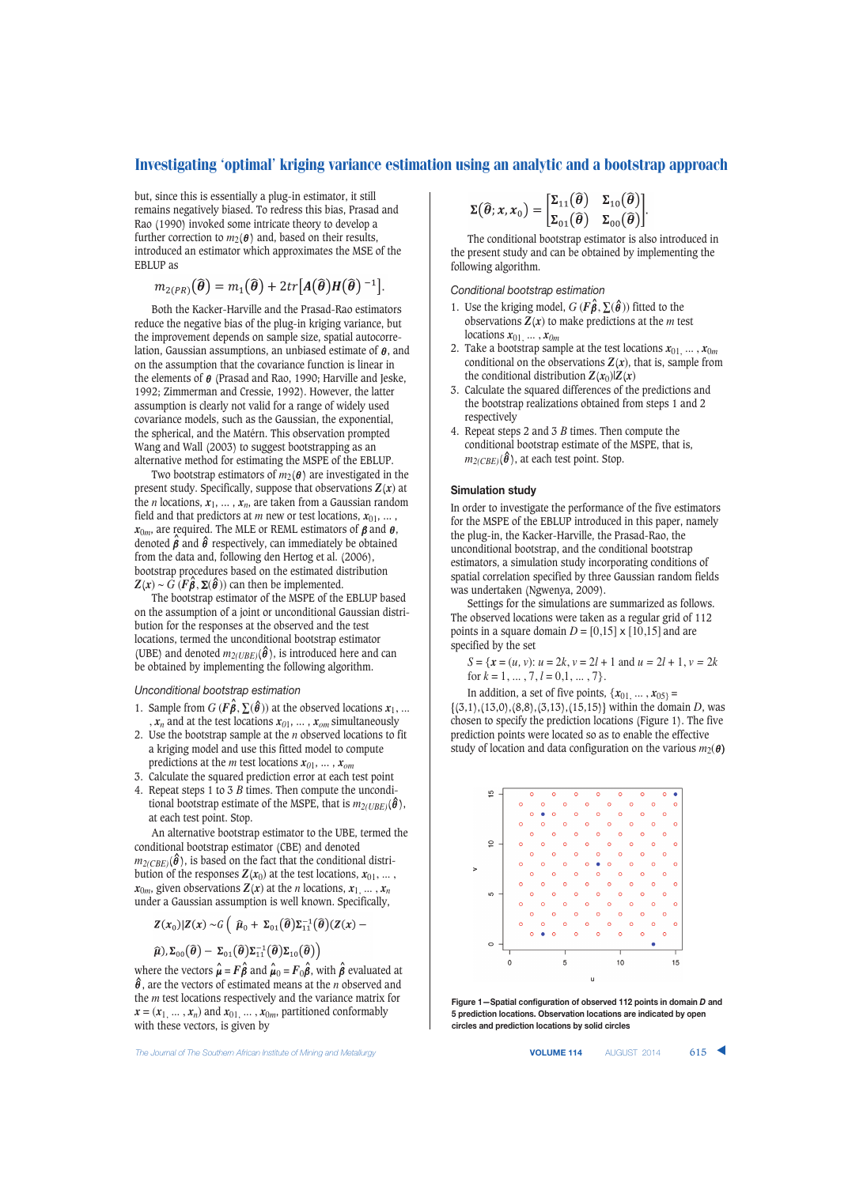but, since this is essentially a plug-in estimator, it still remains negatively biased. To redress this bias, Prasad and Rao (1990) invoked some intricate theory to develop a further correction to  $m_2(\theta)$  and, based on their results, introduced an estimator which approximates the MSE of the EBLUP as

$$
m_{2(PR)}(\widehat{\boldsymbol{\theta}})=m_1(\widehat{\boldsymbol{\theta}})+2tr[A(\widehat{\boldsymbol{\theta}})H(\widehat{\boldsymbol{\theta}})^{-1}].
$$

Both the Kacker-Harville and the Prasad-Rao estimators reduce the negative bias of the plug-in kriging variance, but the improvement depends on sample size, spatial autocorrelation, Gaussian assumptions, an unbiased estimate of  $\theta$ , and on the assumption that the covariance function is linear in the elements of  $\theta$  (Prasad and Rao, 1990; Harville and Jeske, 1992; Zimmerman and Cressie, 1992). However, the latter assumption is clearly not valid for a range of widely used covariance models, such as the Gaussian, the exponential, the spherical, and the Matérn. This observation prompted Wang and Wall (2003) to suggest bootstrapping as an alternative method for estimating the MSPE of the EBLUP.

Two bootstrap estimators of  $m_2(\theta)$  are investigated in the present study. Specifically, suppose that observations *Z*(*x*) at the *n* locations,  $x_1, \ldots, x_n$ , are taken from a Gaussian random field and that predictors at *m* new or test locations,  $x_{01}$ , ...,  $x_{0m}$ , are required. The MLE or REML estimators of  $\beta$  and  $\theta$ , denoted  $\hat{\beta}$  and  $\hat{\theta}$  respectively, can immediately be obtained from the data and, following den Hertog et al. (2006), bootstrap procedures based on the estimated distribution  $Z(x) \sim G(F\hat{\beta}, \Sigma(\hat{\theta}))$  can then be implemented.

The bootstrap estimator of the MSPE of the EBLUP based on the assumption of a joint or unconditional Gaussian distribution for the responses at the observed and the test locations, termed the unconditional bootstrap estimator (UBE) and denoted  $m_{2(UBE)}(\hat{\theta})$ , is introduced here and can be obtained by implementing the following algorithm.

*Unconditional bootstrap estimation*

- 1. Sample from  $G$  ( $F \hat{\boldsymbol{\beta}}, \Sigma(\hat{\boldsymbol{\theta}})$ ) at the observed locations  $x_1$ , ...  $x_n$  and at the test locations  $x_{01}, \ldots, x_{0m}$  simultaneously
- 2. Use the bootstrap sample at the *n* observed locations to fit a kriging model and use this fitted model to compute predictions at the *m* test locations  $x_{01}$ , ...,  $x_{om}$
- 3. Calculate the squared prediction error at each test point
- 4. Repeat steps 1 to 3 *B* times. Then compute the unconditional bootstrap estimate of the MSPE, that is  $m_2(*UBE*)$  ( $\hat{\theta}$ ), at each test point. Stop.

An alternative bootstrap estimator to the UBE, termed the conditional bootstrap estimator (CBE) and denoted  $m_{2(CBE)}(\hat{\theta})$ , is based on the fact that the conditional distribution of the responses  $Z(x_0)$  at the test locations,  $x_{01}$ , ...,  $x_{0m}$ , given observations  $Z(x)$  at the *n* locations,  $x_1, \ldots, x_n$ under a Gaussian assumption is well known. Specifically,

$$
Z(x_0)|Z(x) \sim G\left(\begin{array}{cc} \widehat{\mu}_0 + \Sigma_{01}(\widehat{\boldsymbol{\theta}}) \Sigma_{11}^{-1}(\widehat{\boldsymbol{\theta}})(Z(x) - \widehat{\boldsymbol{\theta}})\end{array}\right)
$$

$$
\widehat{\mu}), \Sigma_{00}(\widehat{\boldsymbol{\theta}}) - \Sigma_{01}(\widehat{\boldsymbol{\theta}})\Sigma_{11}^{-1}(\widehat{\boldsymbol{\theta}})\Sigma_{10}(\widehat{\boldsymbol{\theta}})\big)
$$

where the vectors  $\hat{\boldsymbol{\mu}} = F \hat{\boldsymbol{\beta}}$  and  $\hat{\boldsymbol{\mu}}_0 = F_0 \hat{\boldsymbol{\beta}},$  with  $\hat{\boldsymbol{\beta}}$  evaluated at  $\hat{\theta}$ , are the vectors of estimated means at the *n* observed and the *m* test locations respectively and the variance matrix for  $x = (x_1, \ldots, x_n)$  and  $x_{01}, \ldots, x_{0m}$ , partitioned conformably with these vectors, is given by

The Journal of The Southern African Institute of Mining and Metallurgy **VOLUME 114** AUGUST 2014 615 **4** 

$$
\Sigma(\widehat{\boldsymbol{\theta}}; \boldsymbol{x}, \boldsymbol{x}_0) = \begin{bmatrix} \Sigma_{11}(\widehat{\boldsymbol{\theta}}) & \Sigma_{10}(\widehat{\boldsymbol{\theta}}) \\ \Sigma_{01}(\widehat{\boldsymbol{\theta}}) & \Sigma_{00}(\widehat{\boldsymbol{\theta}}) \end{bmatrix}.
$$

The conditional bootstrap estimator is also introduced in the present study and can be obtained by implementing the following algorithm.

#### *Conditional bootstrap estimation*

- 1. Use the kriging model,  $G$  ( $\hat{F}$  $\hat{\beta}$ ,  $\Sigma$ ( $\hat{\theta}$ )) fitted to the observations  $\mathbf{Z}(x)$  to make predictions at the *m* test locations *x*01, ... , *x0m*
- 2. Take a bootstrap sample at the test locations  $x_{01}, \ldots, x_{0m}$ conditional on the observations  $Z(x)$ , that is, sample from the conditional distribution  $Z(x_0)|Z(x)|$
- 3. Calculate the squared differences of the predictions and the bootstrap realizations obtained from steps 1 and 2 respectively
- 4. Repeat steps 2 and 3 *B* times. Then compute the conditional bootstrap estimate of the MSPE, that is,  $m_{2(CBE)}(\hat{\theta})$ , at each test point. Stop.

#### **Simulation study**

In order to investigate the performance of the five estimators for the MSPE of the EBLUP introduced in this paper, namely the plug-in, the Kacker-Harville, the Prasad-Rao, the unconditional bootstrap, and the conditional bootstrap estimators, a simulation study incorporating conditions of spatial correlation specified by three Gaussian random fields was undertaken (Ngwenya, 2009).

Settings for the simulations are summarized as follows. The observed locations were taken as a regular grid of 112 points in a square domain  $D = [0,15] \times [10,15]$  and are specified by the set

$$
S = \{x = (u, v): u = 2k, v = 2l + 1 \text{ and } u = 2l + 1, v = 2k \text{ for } k = 1, ..., 7, l = 0, 1, ..., 7\}.
$$

In addition, a set of five points,  $\{x_{01}, \ldots, x_{05}\}$  = {(3,1),(13,0),(8,8),(3,13),(15,15)} within the domain *D*, was chosen to specify the prediction locations (Figure 1). The five

prediction points were located so as to enable the effective study of location and data configuration on the various  $m_2(\theta)$ 



**Figure 1—Spatial configuration of observed 112 points in domain** *D* **and 5 prediction locations. Observation locations are indicated by open circles and prediction locations by solid circles**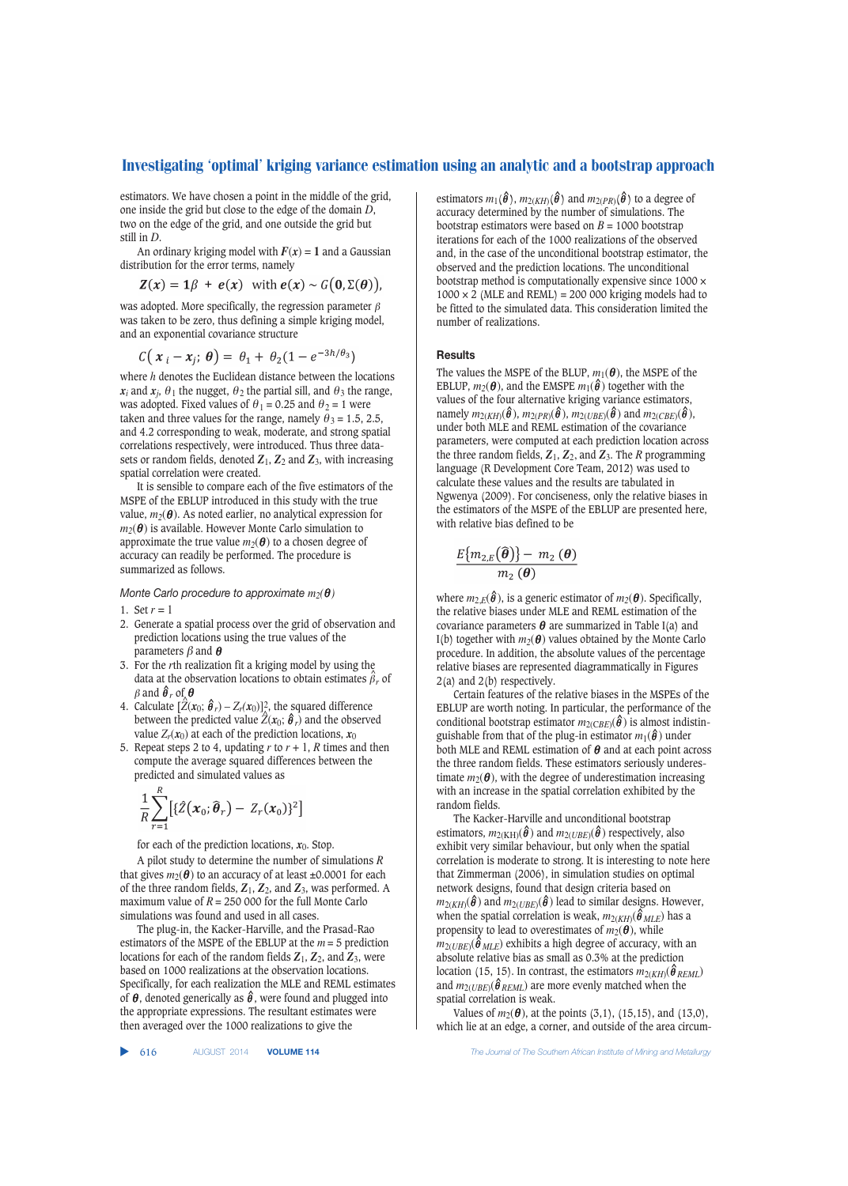estimators. We have chosen a point in the middle of the grid, one inside the grid but close to the edge of the domain *D*, two on the edge of the grid, and one outside the grid but still in *D*.

An ordinary kriging model with  $F(x) = 1$  and a Gaussian distribution for the error terms, namely

$$
Z(x) = 1\beta + e(x) \text{ with } e(x) \sim G(0, \Sigma(\theta)),
$$

was adopted. More specifically, the regression parameter  $\beta$ was taken to be zero, thus defining a simple kriging model, and an exponential covariance structure

$$
C(x_i - x_i; \theta) = \theta_1 + \theta_2(1 - e^{-3h/\theta_3})
$$

where *h* denotes the Euclidean distance between the locations  $x_i$  and  $x_j$ ,  $\theta_1$  the nugget,  $\theta_2$  the partial sill, and  $\theta_3$  the range, was adopted. Fixed values of  $\theta_1 = 0.25$  and  $\theta_2 = 1$  were taken and three values for the range, namely  $\theta_3 = 1.5, 2.5,$ and 4.2 corresponding to weak, moderate, and strong spatial correlations respectively, were introduced. Thus three datasets or random fields, denoted  $Z_1$ ,  $Z_2$  and  $Z_3$ , with increasing spatial correlation were created.

It is sensible to compare each of the five estimators of the MSPE of the EBLUP introduced in this study with the true value,  $m_2(\theta)$ . As noted earlier, no analytical expression for  $m_2(\boldsymbol{\theta})$  is available. However Monte Carlo simulation to approximate the true value  $m_2(\theta)$  to a chosen degree of accuracy can readily be performed. The procedure is summarized as follows.

*Monte Carlo procedure to approximate*  $m_2(\theta)$ 

- 1. Set  $r = 1$
- 2. Generate a spatial process over the grid of observation and prediction locations using the true values of the parameters  $\beta$  and  $\theta$
- 3. For the *r*th realization fit a kriging model by using the data at the observation locations to obtain estimates  $\hat{\beta}_r$  of  $\beta$  and  $\hat{\boldsymbol{\theta}}_r$  of  $\boldsymbol{\theta}$
- 4. Calculate  $[\hat{Z}(x_0; \hat{\theta}_r) Z_r(x_0)]^2$ , the squared difference between the predicted value  $\hat{Z}(x_0; \hat{\theta}_r)$  and the observed value  $Z_r(x_0)$  at each of the prediction locations,  $x_0$
- 5. Repeat steps 2 to 4, updating  $r$  to  $r + 1$ ,  $R$  times and then compute the average squared differences between the predicted and simulated values as

$$
\frac{1}{R}\sum_{r=1}^R\big[\{\hat{Z}(\boldsymbol{x}_0;\widehat{\boldsymbol{\theta}}_r)-Z_r(\boldsymbol{x}_0)\}^2\big]
$$

for each of the prediction locations,  $x_0$ . Stop.

A pilot study to determine the number of simulations *R* that gives  $m_2(\theta)$  to an accuracy of at least  $\pm 0.0001$  for each of the three random fields,  $Z_1$ ,  $Z_2$ , and  $Z_3$ , was performed. A maximum value of  $R = 250,000$  for the full Monte Carlo simulations was found and used in all cases.

The plug-in, the Kacker-Harville, and the Prasad-Rao estimators of the MSPE of the EBLUP at the *m* = 5 prediction locations for each of the random fields  $Z_1$ ,  $Z_2$ , and  $Z_3$ , were based on 1000 realizations at the observation locations. Specifically, for each realization the MLE and REML estimates of  $\theta$ , denoted generically as  $\hat{\theta}$ , were found and plugged into the appropriate expressions. The resultant estimates were then averaged over the 1000 realizations to give the

estimators  $m_1(\boldsymbol{\hat{\theta}})$ ,  $m_{2(KH)}(\boldsymbol{\hat{\theta}})$  and  $m_{2(PR)}(\boldsymbol{\hat{\theta}})$  to a degree of accuracy determined by the number of simulations. The bootstrap estimators were based on  $B = 1000$  bootstrap iterations for each of the 1000 realizations of the observed and, in the case of the unconditional bootstrap estimator, the observed and the prediction locations. The unconditional bootstrap method is computationally expensive since 1000 ×  $1000 \times 2$  (MLE and REML) = 200 000 kriging models had to be fitted to the simulated data. This consideration limited the number of realizations.

#### **Results**

The values the MSPE of the BLUP,  $m_1(\theta)$ , the MSPE of the EBLUP,  $m_2(\theta)$ , and the EMSPE  $m_1(\hat{\theta})$  together with the values of the four alternative kriging variance estimators,  $\lim_{M_2(KH)}(\hat{\theta}), \lim_{2(PR)}(\hat{\theta}), \lim_{2(UBE)}(\hat{\theta})$  and  $\lim_{2(CBE)}(\hat{\theta}),$ under both MLE and REML estimation of the covariance parameters, were computed at each prediction location across the three random fields,  $Z_1$ ,  $Z_2$ , and  $Z_3$ . The *R* programming language (R Development Core Team, 2012) was used to calculate these values and the results are tabulated in Ngwenya (2009). For conciseness, only the relative biases in the estimators of the MSPE of the EBLUP are presented here, with relative bias defined to be

$$
\frac{E\{m_{2,E}(\widehat{\boldsymbol{\theta}})\}-m_2(\boldsymbol{\theta})}{m_2(\boldsymbol{\theta})}
$$

where  $m_{2,E}(\boldsymbol{\hat{\theta}})$ , is a generic estimator of  $m_2(\boldsymbol{\theta})$ . Specifically, the relative biases under MLE and REML estimation of the covariance parameters  $\theta$  are summarized in Table I(a) and I(b) together with  $m_2(\theta)$  values obtained by the Monte Carlo procedure. In addition, the absolute values of the percentage relative biases are represented diagrammatically in Figures 2(a) and 2(b) respectively.

Certain features of the relative biases in the MSPEs of the EBLUP are worth noting. In particular, the performance of the conditional bootstrap estimator  $m_{2(CBE)}(\hat{\theta})$  is almost indistinguishable from that of the plug-in estimator  $m_1(\hat{\theta})$  under both MLE and REML estimation of  $\theta$  and at each point across the three random fields. These estimators seriously underestimate  $m_2(\boldsymbol{\theta})$ , with the degree of underestimation increasing with an increase in the spatial correlation exhibited by the random fields.

The Kacker-Harville and unconditional bootstrap estimators,  $m_{2(KH)}(\hat{\theta})$  and  $m_{2(UBE)}(\hat{\theta})$  respectively, also exhibit very similar behaviour, but only when the spatial correlation is moderate to strong. It is interesting to note here that Zimmerman (2006), in simulation studies on optimal network designs, found that design criteria based on  $m_{2(KH)}(\hat{\theta})$  and  $m_{2(UBE)}(\hat{\theta})$  lead to similar designs. However, when the spatial correlation is weak,  $m_{2(KH)}(\boldsymbol{\hat{\theta}}_{MLE})$  has a propensity to lead to overestimates of  $m_2(\boldsymbol{\theta})$ , while  $m_{2(UBE)}(\hat{\phi}_{MLE})$  exhibits a high degree of accuracy, with an absolute relative bias as small as 0.3% at the prediction location (15, 15). In contrast, the estimators  $m_{2(KH)}(\hat{\theta}_{REML})$ and  $m_{2(UBE)}(\hat{\theta}_{REML})$  are more evenly matched when the spatial correlation is weak.

Values of  $m_2(\theta)$ , at the points (3,1), (15,15), and (13,0), which lie at an edge, a corner, and outside of the area circum-

616 AUGUST 2014 **VOLUME 114** *The Journal of The Southern African Institute of Mining and Metallurgy*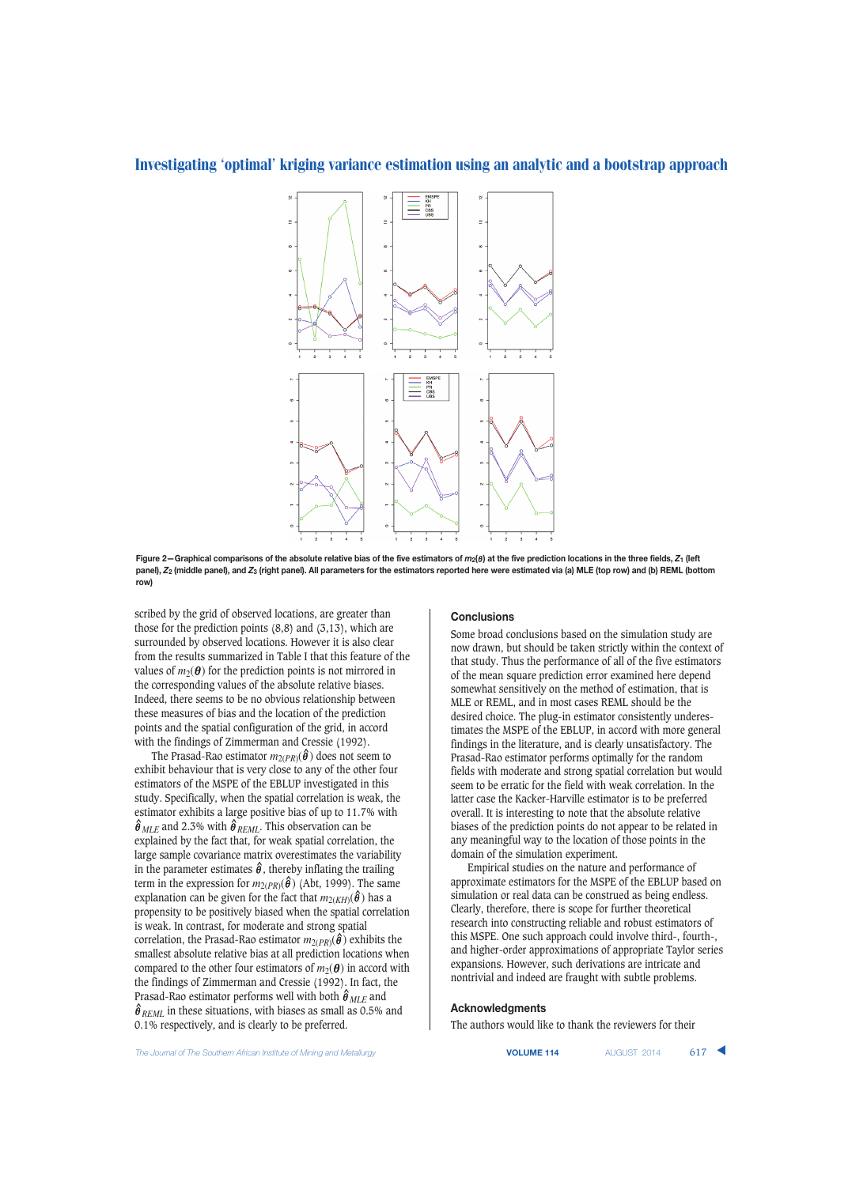

**Figure 2—Graphical comparisons of the absolute relative bias of the five estimators of** *m***2(**<sup>θ</sup> **) at the five prediction locations in the three fields,** *Z***<sup>1</sup> (left panel),** *Z***<sup>2</sup> (middle panel), and** *Z***<sup>3</sup> (right panel). All parameters for the estimators reported here were estimated via (a) MLE (top row) and (b) REML (bottom row)**

scribed by the grid of observed locations, are greater than those for the prediction points  $(8,8)$  and  $(3,13)$ , which are surrounded by observed locations. However it is also clear from the results summarized in Table I that this feature of the values of  $m_2(\theta)$  for the prediction points is not mirrored in the corresponding values of the absolute relative biases. Indeed, there seems to be no obvious relationship between these measures of bias and the location of the prediction points and the spatial configuration of the grid, in accord with the findings of Zimmerman and Cressie (1992).

The Prasad-Rao estimator  $m_{2(PR)}(\hat{\theta})$  does not seem to exhibit behaviour that is very close to any of the other four estimators of the MSPE of the EBLUP investigated in this study. Specifically, when the spatial correlation is weak, the estimator exhibits a large positive bias of up to 11.7% with  $\hat{\theta}_{MLE}$  and 2.3% with  $\hat{\theta}_{REML}$ . This observation can be explained by the fact that, for weak spatial correlation, the large sample covariance matrix overestimates the variability in the parameter estimates  $\hat{\theta}$ , thereby inflating the trailing term in the expression for  $m_{2(PR)}(\hat{\theta})$  (Abt, 1999). The same explanation can be given for the fact that  $m_{2(KH)}(\hat{\theta})$  has a propensity to be positively biased when the spatial correlation is weak. In contrast, for moderate and strong spatial correlation, the Prasad-Rao estimator  $m_{2(PR)}(\hat{\theta})$  exhibits the smallest absolute relative bias at all prediction locations when compared to the other four estimators of  $m_2(\theta)$  in accord with the findings of Zimmerman and Cressie (1992). In fact, the Prasad-Rao estimator performs well with both θ **^** *MLE* and  $\hat{\theta}_{REML}$  in these situations, with biases as small as 0.5% and 0.1% respectively, and is clearly to be preferred.

#### **Conclusions**

Some broad conclusions based on the simulation study are now drawn, but should be taken strictly within the context of that study. Thus the performance of all of the five estimators of the mean square prediction error examined here depend somewhat sensitively on the method of estimation, that is MLE or REML, and in most cases REML should be the desired choice. The plug-in estimator consistently underestimates the MSPE of the EBLUP, in accord with more general findings in the literature, and is clearly unsatisfactory. The Prasad-Rao estimator performs optimally for the random fields with moderate and strong spatial correlation but would seem to be erratic for the field with weak correlation. In the latter case the Kacker-Harville estimator is to be preferred overall. It is interesting to note that the absolute relative biases of the prediction points do not appear to be related in any meaningful way to the location of those points in the domain of the simulation experiment.

Empirical studies on the nature and performance of approximate estimators for the MSPE of the EBLUP based on simulation or real data can be construed as being endless. Clearly, therefore, there is scope for further theoretical research into constructing reliable and robust estimators of this MSPE. One such approach could involve third-, fourth-, and higher-order approximations of appropriate Taylor series expansions. However, such derivations are intricate and nontrivial and indeed are fraught with subtle problems.

#### **Acknowledgments**

The authors would like to thank the reviewers for their